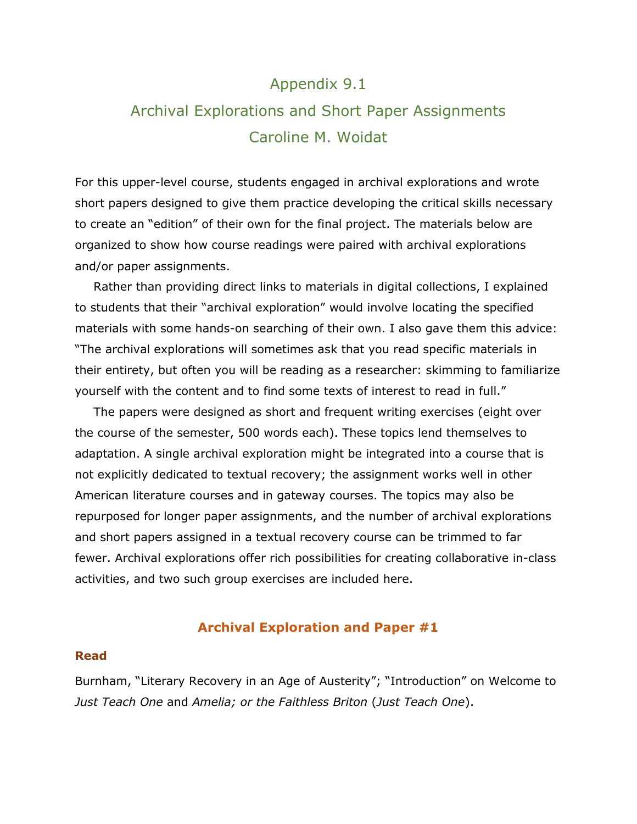# Appendix 9.1

# Archival Explorations and Short Paper Assignments Caroline M. Woidat

For this upper-level course, students engaged in archival explorations and wrote short papers designed to give them practice developing the critical skills necessary to create an "edition" of their own for the final project. The materials below are organized to show how course readings were paired with archival explorations and/or paper assignments.

Rather than providing direct links to materials in digital collections, I explained to students that their "archival exploration" would involve locating the specified materials with some hands-on searching of their own. I also gave them this advice: "The archival explorations will sometimes ask that you read specific materials in their entirety, but often you will be reading as a researcher: skimming to familiarize yourself with the content and to find some texts of interest to read in full."

The papers were designed as short and frequent writing exercises (eight over the course of the semester, 500 words each). These topics lend themselves to adaptation. A single archival exploration might be integrated into a course that is not explicitly dedicated to textual recovery; the assignment works well in other American literature courses and in gateway courses. The topics may also be repurposed for longer paper assignments, and the number of archival explorations and short papers assigned in a textual recovery course can be trimmed to far fewer. Archival explorations offer rich possibilities for creating collaborative in-class activities, and two such group exercises are included here.

## **Archival Exploration and Paper #1**

#### **Read**

Burnham, "Literary Recovery in an Age of Austerity"; "Introduction" on Welcome to *Just Teach One* and *Amelia; or the Faithless Briton* (*Just Teach One*).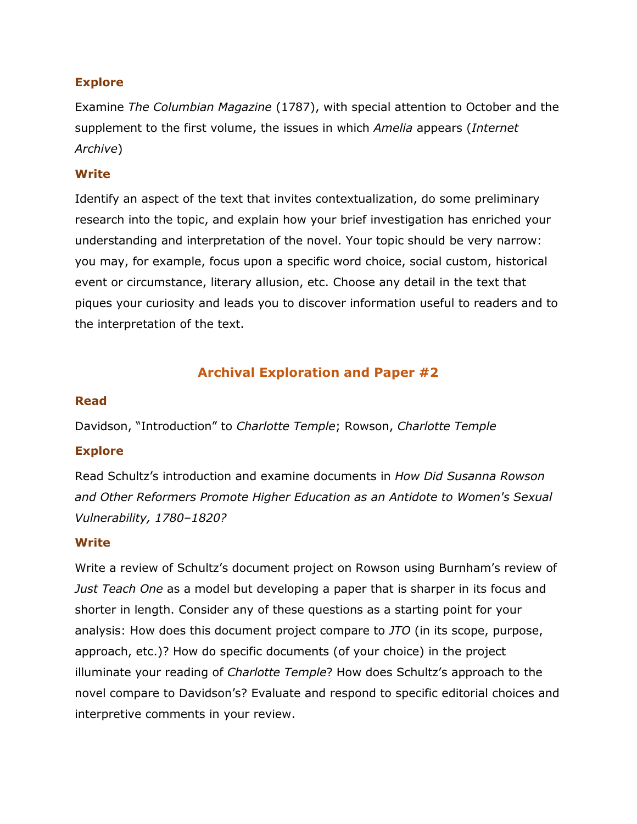## **Explore**

Examine *The Columbian Magazine* (1787), with special attention to October and the supplement to the first volume, the issues in which *Amelia* appears (*Internet Archive*)

## **Write**

Identify an aspect of the text that invites contextualization, do some preliminary research into the topic, and explain how your brief investigation has enriched your understanding and interpretation of the novel. Your topic should be very narrow: you may, for example, focus upon a specific word choice, social custom, historical event or circumstance, literary allusion, etc. Choose any detail in the text that piques your curiosity and leads you to discover information useful to readers and to the interpretation of the text.

# **Archival Exploration and Paper #2**

## **Read**

Davidson, "Introduction" to *Charlotte Temple*; Rowson, *Charlotte Temple*

## **Explore**

Read Schultz's introduction and examine documents in *How Did Susanna Rowson and Other Reformers Promote Higher Education as an Antidote to Women's Sexual Vulnerability, 1780–1820?*

## **Write**

Write a review of Schultz's document project on Rowson using Burnham's review of *Just Teach One* as a model but developing a paper that is sharper in its focus and shorter in length. Consider any of these questions as a starting point for your analysis: How does this document project compare to *JTO* (in its scope, purpose, approach, etc.)? How do specific documents (of your choice) in the project illuminate your reading of *Charlotte Temple*? How does Schultz's approach to the novel compare to Davidson's? Evaluate and respond to specific editorial choices and interpretive comments in your review.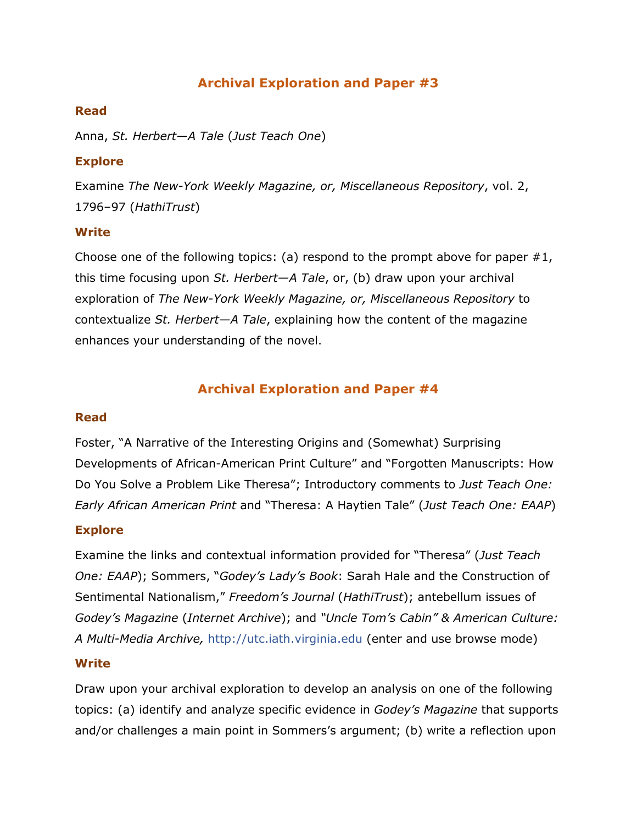# **Archival Exploration and Paper #3**

## **Read**

Anna, *St. Herbert—A Tale* (*Just Teach One*)

## **Explore**

Examine *The New-York Weekly Magazine, or, Miscellaneous Repository*, vol. 2, 1796–97 (*HathiTrust*)

## **Write**

Choose one of the following topics: (a) respond to the prompt above for paper  $#1$ , this time focusing upon *St. Herbert—A Tale*, or, (b) draw upon your archival exploration of *The New-York Weekly Magazine, or, Miscellaneous Repository* to contextualize *St. Herbert—A Tale*, explaining how the content of the magazine enhances your understanding of the novel.

## **Archival Exploration and Paper #4**

## **Read**

Foster, "A Narrative of the Interesting Origins and (Somewhat) Surprising Developments of African-American Print Culture" and "Forgotten Manuscripts: How Do You Solve a Problem Like Theresa"; Introductory comments to *Just Teach One: Early African American Print* and "Theresa: A Haytien Tale" (*Just Teach One: EAAP*)

## **Explore**

Examine the links and contextual information provided for "Theresa" (*Just Teach One: EAAP*); Sommers, "*Godey's Lady's Book*: Sarah Hale and the Construction of Sentimental Nationalism," *Freedom's Journal* (*HathiTrust*); antebellum issues of *Godey's Magazine* (*Internet Archive*); and *"Uncle Tom's Cabin" & American Culture: A Multi-Media Archive,* [http://utc.iath.virginia.edu](http://utc.iath.virginia.edu/) (enter and use browse mode)

#### **Write**

Draw upon your archival exploration to develop an analysis on one of the following topics: (a) identify and analyze specific evidence in *Godey's Magazine* that supports and/or challenges a main point in Sommers's argument; (b) write a reflection upon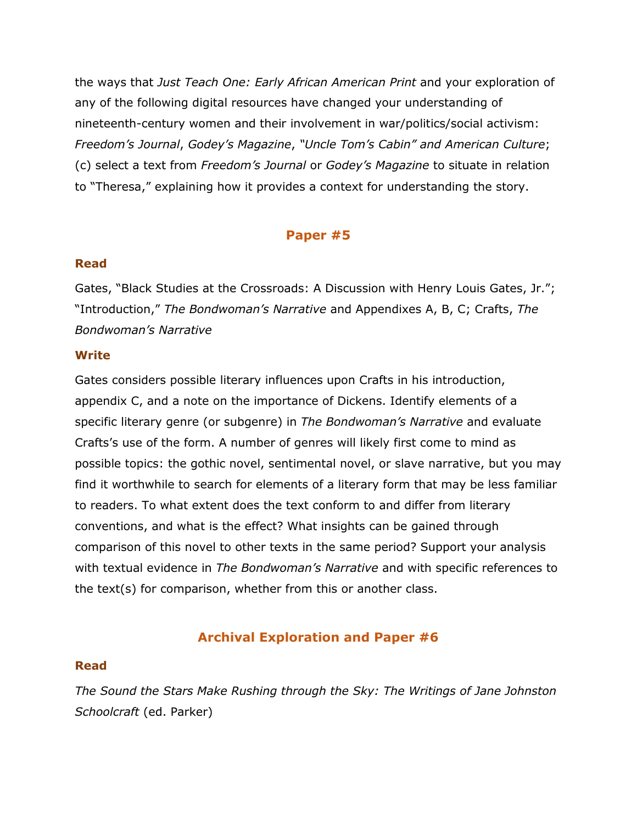the ways that *Just Teach One: Early African American Print* and your exploration of any of the following digital resources have changed your understanding of nineteenth-century women and their involvement in war/politics/social activism: *Freedom's Journal*, *Godey's Magazine*, *"Uncle Tom's Cabin" and American Culture*; (c) select a text from *Freedom's Journal* or *Godey's Magazine* to situate in relation to "Theresa," explaining how it provides a context for understanding the story.

## **Paper #5**

## **Read**

Gates, "Black Studies at the Crossroads: A Discussion with Henry Louis Gates, Jr."; "Introduction," *The Bondwoman's Narrative* and Appendixes A, B, C; Crafts, *The Bondwoman's Narrative*

#### **Write**

Gates considers possible literary influences upon Crafts in his introduction, appendix C, and a note on the importance of Dickens. Identify elements of a specific literary genre (or subgenre) in *The Bondwoman's Narrative* and evaluate Crafts's use of the form. A number of genres will likely first come to mind as possible topics: the gothic novel, sentimental novel, or slave narrative, but you may find it worthwhile to search for elements of a literary form that may be less familiar to readers. To what extent does the text conform to and differ from literary conventions, and what is the effect? What insights can be gained through comparison of this novel to other texts in the same period? Support your analysis with textual evidence in *The Bondwoman's Narrative* and with specific references to the text(s) for comparison, whether from this or another class.

## **Archival Exploration and Paper #6**

#### **Read**

*The Sound the Stars Make Rushing through the Sky: The Writings of Jane Johnston Schoolcraft* (ed. Parker)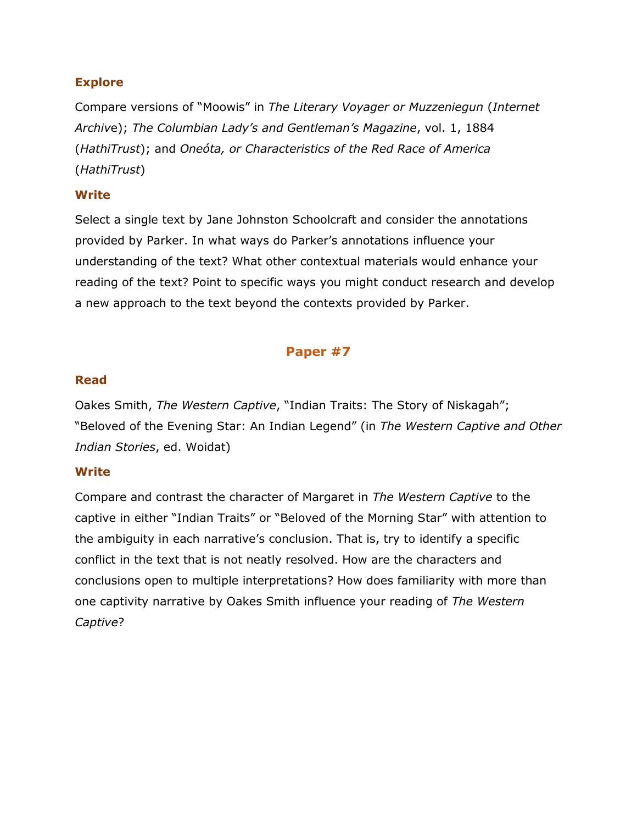## **Explore**

Compare versions of "Moowis" in *The Literary Voyager or Muzzeniegun* (*Internet Archiv*e); *The Columbian Lady's and Gentleman's Magazine*, vol. 1, 1884 (*HathiTrust*); and *Oneóta, or Characteristics of the Red Race of America* (*HathiTrust*)

## **Write**

Select a single text by Jane Johnston Schoolcraft and consider the annotations provided by Parker. In what ways do Parker's annotations influence your understanding of the text? What other contextual materials would enhance your reading of the text? Point to specific ways you might conduct research and develop a new approach to the text beyond the contexts provided by Parker.

# **Paper #7**

## **Read**

Oakes Smith, *The Western Captive*, "Indian Traits: The Story of Niskagah"; "Beloved of the Evening Star: An Indian Legend" (in *The Western Captive and Other Indian Stories*, ed. Woidat)

## **Write**

Compare and contrast the character of Margaret in *The Western Captive* to the captive in either "Indian Traits" or "Beloved of the Morning Star" with attention to the ambiguity in each narrative's conclusion. That is, try to identify a specific conflict in the text that is not neatly resolved. How are the characters and conclusions open to multiple interpretations? How does familiarity with more than one captivity narrative by Oakes Smith influence your reading of *The Western Captive*?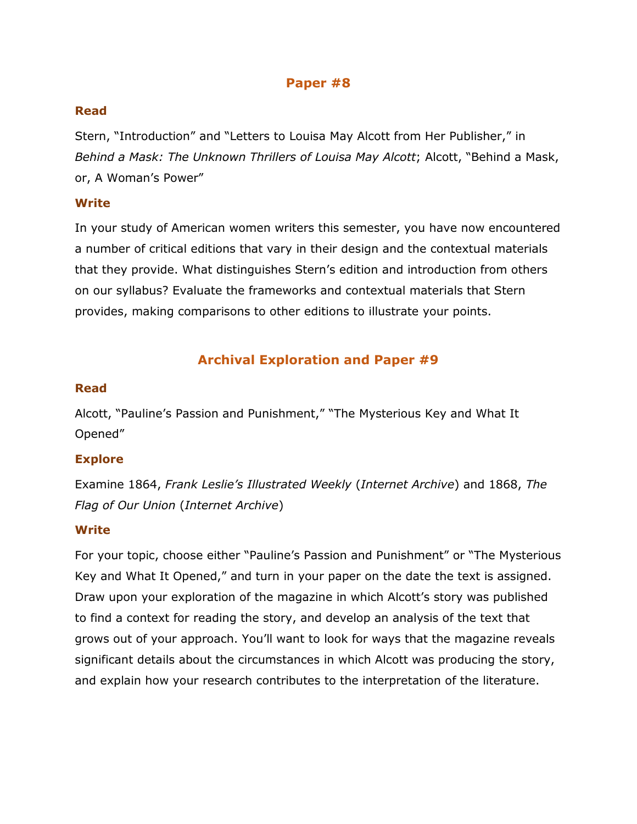## **Paper #8**

## **Read**

Stern, "Introduction" and "Letters to Louisa May Alcott from Her Publisher," in *Behind a Mask: The Unknown Thrillers of Louisa May Alcott*; Alcott, "Behind a Mask, or, A Woman's Power"

## **Write**

In your study of American women writers this semester, you have now encountered a number of critical editions that vary in their design and the contextual materials that they provide. What distinguishes Stern's edition and introduction from others on our syllabus? Evaluate the frameworks and contextual materials that Stern provides, making comparisons to other editions to illustrate your points.

# **Archival Exploration and Paper #9**

## **Read**

Alcott, "Pauline's Passion and Punishment," "The Mysterious Key and What It Opened"

## **Explore**

Examine 1864, *Frank Leslie's Illustrated Weekly* (*Internet Archive*) and 1868, *The Flag of Our Union* (*Internet Archive*)

## **Write**

For your topic, choose either "Pauline's Passion and Punishment" or "The Mysterious Key and What It Opened," and turn in your paper on the date the text is assigned. Draw upon your exploration of the magazine in which Alcott's story was published to find a context for reading the story, and develop an analysis of the text that grows out of your approach. You'll want to look for ways that the magazine reveals significant details about the circumstances in which Alcott was producing the story, and explain how your research contributes to the interpretation of the literature.